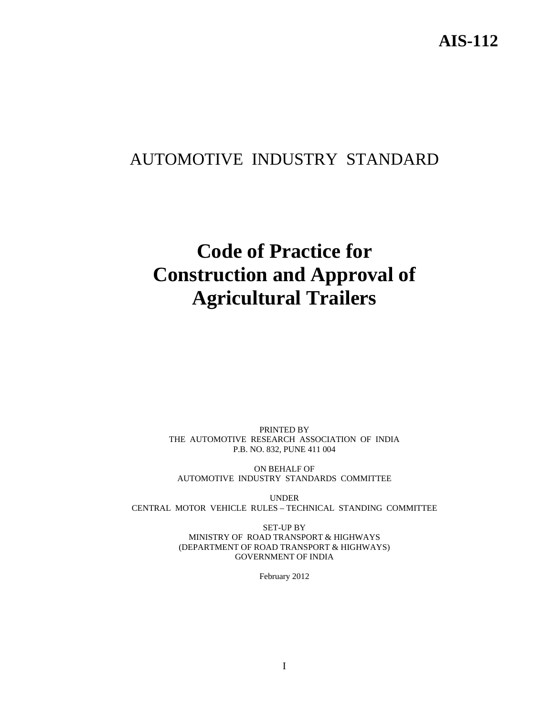# AUTOMOTIVE INDUSTRY STANDARD

# **Code of Practice for Construction and Approval of Agricultural Trailers**

PRINTED BY THE AUTOMOTIVE RESEARCH ASSOCIATION OF INDIA P.B. NO. 832, PUNE 411 004

ON BEHALF OF AUTOMOTIVE INDUSTRY STANDARDS COMMITTEE

UNDER CENTRAL MOTOR VEHICLE RULES – TECHNICAL STANDING COMMITTEE

> SET-UP BY MINISTRY OF ROAD TRANSPORT & HIGHWAYS (DEPARTMENT OF ROAD TRANSPORT & HIGHWAYS) GOVERNMENT OF INDIA

> > February 2012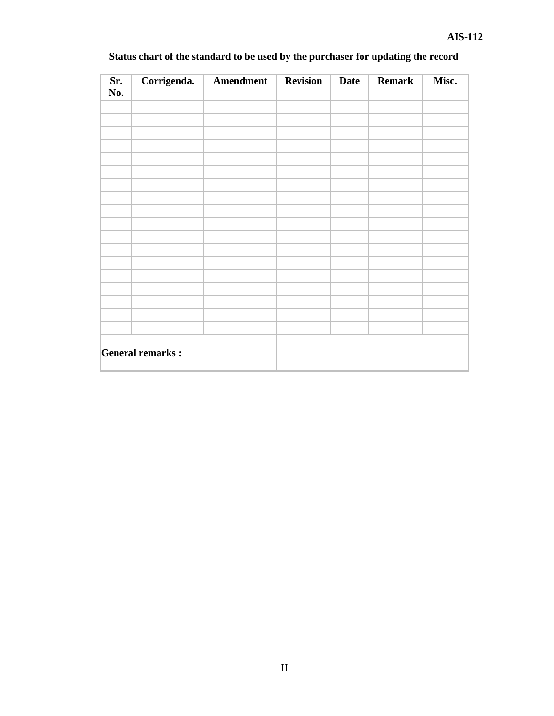| Sr.<br>No. | Corrigenda.             | Amendment | <b>Revision</b> | <b>Date</b> | <b>Remark</b> | Misc. |
|------------|-------------------------|-----------|-----------------|-------------|---------------|-------|
|            |                         |           |                 |             |               |       |
|            |                         |           |                 |             |               |       |
|            |                         |           |                 |             |               |       |
|            |                         |           |                 |             |               |       |
|            |                         |           |                 |             |               |       |
|            |                         |           |                 |             |               |       |
|            |                         |           |                 |             |               |       |
|            |                         |           |                 |             |               |       |
|            |                         |           |                 |             |               |       |
|            |                         |           |                 |             |               |       |
|            |                         |           |                 |             |               |       |
|            |                         |           |                 |             |               |       |
|            | <b>General remarks:</b> |           |                 |             |               |       |

## **Status chart of the standard to be used by the purchaser for updating the record**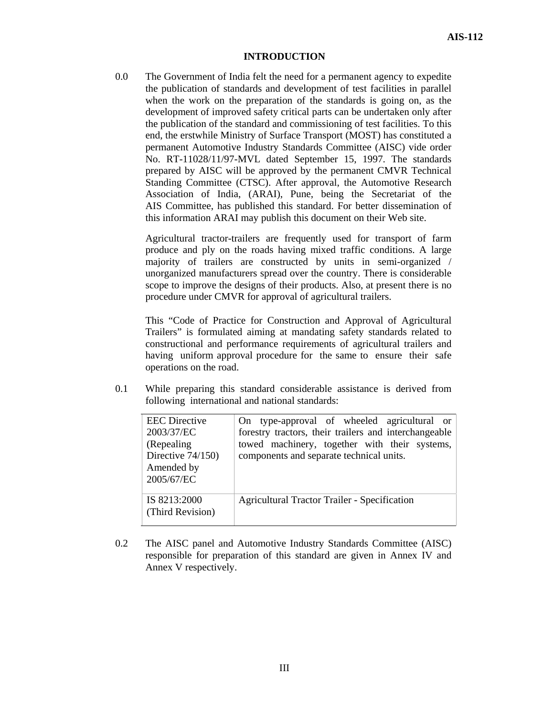#### **INTRODUCTION**

0.0 The Government of India felt the need for a permanent agency to expedite the publication of standards and development of test facilities in parallel when the work on the preparation of the standards is going on, as the development of improved safety critical parts can be undertaken only after the publication of the standard and commissioning of test facilities. To this end, the erstwhile Ministry of Surface Transport (MOST) has constituted a permanent Automotive Industry Standards Committee (AISC) vide order No. RT-11028/11/97-MVL dated September 15, 1997. The standards prepared by AISC will be approved by the permanent CMVR Technical Standing Committee (CTSC). After approval, the Automotive Research Association of India, (ARAI), Pune, being the Secretariat of the AIS Committee, has published this standard. For better dissemination of this information ARAI may publish this document on their Web site.

Agricultural tractor-trailers are frequently used for transport of farm produce and ply on the roads having mixed traffic conditions. A large majority of trailers are constructed by units in semi-organized / unorganized manufacturers spread over the country. There is considerable scope to improve the designs of their products. Also, at present there is no procedure under CMVR for approval of agricultural trailers.

This "Code of Practice for Construction and Approval of Agricultural Trailers" is formulated aiming at mandating safety standards related to constructional and performance requirements of agricultural trailers and having uniform approval procedure for the same to ensure their safe operations on the road.

0.1 While preparing this standard considerable assistance is derived from following international and national standards:

| <b>EEC</b> Directive<br>2003/37/EC<br>(Repealing)<br>Directive 74/150)<br>Amended by<br>2005/67/EC | On type-approval of wheeled agricultural or<br>forestry tractors, their trailers and interchangeable<br>towed machinery, together with their systems,<br>components and separate technical units. |
|----------------------------------------------------------------------------------------------------|---------------------------------------------------------------------------------------------------------------------------------------------------------------------------------------------------|
| IS 8213:2000<br>(Third Revision)                                                                   | <b>Agricultural Tractor Trailer - Specification</b>                                                                                                                                               |

0.2 The AISC panel and Automotive Industry Standards Committee (AISC) responsible for preparation of this standard are given in Annex IV and Annex V respectively.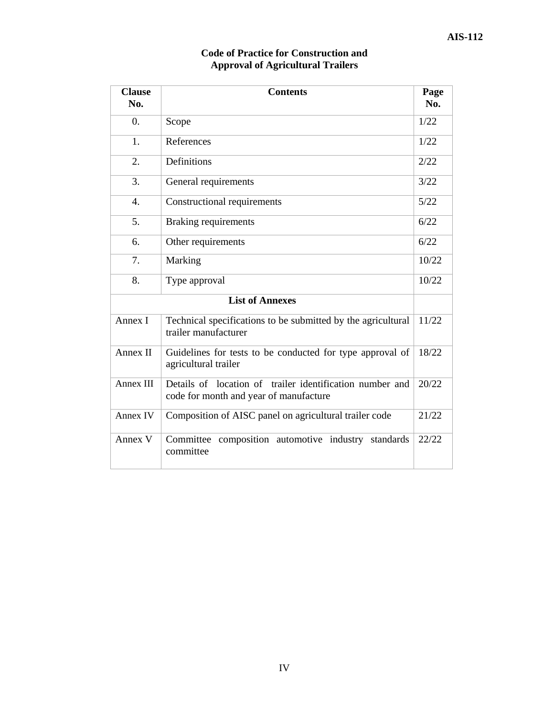| <b>Clause</b><br>No. | <b>Contents</b>                                                                                    | Page<br>No. |
|----------------------|----------------------------------------------------------------------------------------------------|-------------|
| $\theta$ .           | Scope                                                                                              | 1/22        |
| 1.                   | References                                                                                         | 1/22        |
| 2.                   | Definitions                                                                                        | 2/22        |
| 3.                   | General requirements                                                                               | 3/22        |
| $\overline{4}$ .     | Constructional requirements                                                                        | 5/22        |
| 5.                   | <b>Braking requirements</b>                                                                        | 6/22        |
| 6.                   | Other requirements                                                                                 | 6/22        |
| 7.                   | Marking                                                                                            | 10/22       |
| 8.                   | Type approval                                                                                      | 10/22       |
|                      | <b>List of Annexes</b>                                                                             |             |
| Annex I              | Technical specifications to be submitted by the agricultural<br>trailer manufacturer               | 11/22       |
| Annex II             | Guidelines for tests to be conducted for type approval of<br>agricultural trailer                  | 18/22       |
| Annex III            | Details of location of trailer identification number and<br>code for month and year of manufacture | 20/22       |
| Annex IV             | Composition of AISC panel on agricultural trailer code                                             | 21/22       |
| Annex V              | Committee<br>composition automotive industry<br>standards<br>committee                             | 22/22       |

### **Code of Practice for Construction and Approval of Agricultural Trailers**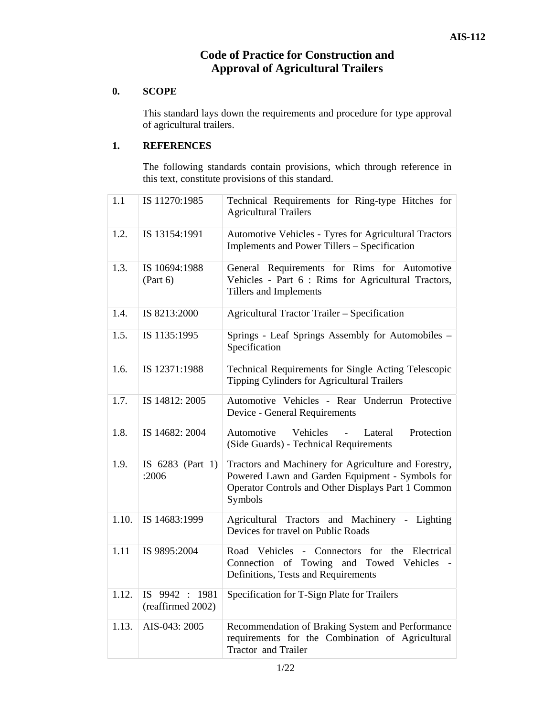## **Code of Practice for Construction and Approval of Agricultural Trailers**

## **0. SCOPE**

This standard lays down the requirements and procedure for type approval of agricultural trailers.

#### **1. REFERENCES**

The following standards contain provisions, which through reference in this text, constitute provisions of this standard.

| 1.1   | IS 11270:1985                            | Technical Requirements for Ring-type Hitches for<br><b>Agricultural Trailers</b>                                                                                         |
|-------|------------------------------------------|--------------------------------------------------------------------------------------------------------------------------------------------------------------------------|
| 1.2.  | IS 13154:1991                            | Automotive Vehicles - Tyres for Agricultural Tractors<br>Implements and Power Tillers - Specification                                                                    |
| 1.3.  | IS 10694:1988<br>(Part 6)                | General Requirements for Rims for Automotive<br>Vehicles - Part 6 : Rims for Agricultural Tractors,<br>Tillers and Implements                                            |
| 1.4.  | IS 8213:2000                             | <b>Agricultural Tractor Trailer - Specification</b>                                                                                                                      |
| 1.5.  | IS 1135:1995                             | Springs - Leaf Springs Assembly for Automobiles -<br>Specification                                                                                                       |
| 1.6.  | IS 12371:1988                            | Technical Requirements for Single Acting Telescopic<br>Tipping Cylinders for Agricultural Trailers                                                                       |
| 1.7.  | IS 14812: 2005                           | Automotive Vehicles - Rear Underrun Protective<br>Device - General Requirements                                                                                          |
| 1.8.  | IS 14682: 2004                           | Automotive<br>Vehicles<br>Lateral<br>Protection<br>$\overline{a}$<br>(Side Guards) - Technical Requirements                                                              |
| 1.9.  | IS 6283 (Part 1)<br>:2006                | Tractors and Machinery for Agriculture and Forestry,<br>Powered Lawn and Garden Equipment - Symbols for<br>Operator Controls and Other Displays Part 1 Common<br>Symbols |
| 1.10. | IS 14683:1999                            | Agricultural Tractors and Machinery - Lighting<br>Devices for travel on Public Roads                                                                                     |
| 1.11  | IS 9895:2004                             | Road Vehicles<br>for the Electrical<br>Connectors<br>$\omega_{\rm{max}}$<br>Connection of<br>Towing and Towed Vehicles<br>Definitions, Tests and Requirements            |
| 1.12. | 9942 : 1981<br>IS —<br>(reaffirmed 2002) | Specification for T-Sign Plate for Trailers                                                                                                                              |
| 1.13. | AIS-043: 2005                            | Recommendation of Braking System and Performance<br>requirements for the Combination of Agricultural<br><b>Tractor</b> and Trailer                                       |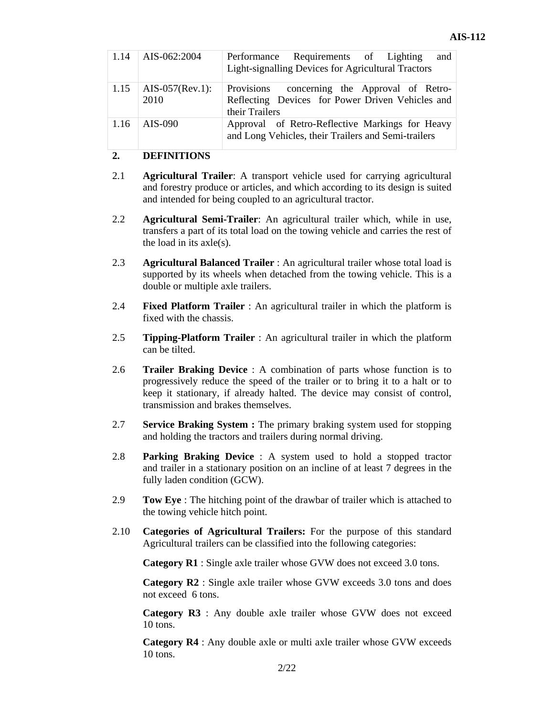| 1.14 | AIS-062:2004                   | Performance Requirements of Lighting<br>and<br><b>Light-signalling Devices for Agricultural Tractors</b>           |
|------|--------------------------------|--------------------------------------------------------------------------------------------------------------------|
|      | 1.15   AIS-057(Rev.1):<br>2010 | Provisions concerning the Approval of Retro-<br>Reflecting Devices for Power Driven Vehicles and<br>their Trailers |
|      | $1.16$   AIS-090               | Approval of Retro-Reflective Markings for Heavy<br>and Long Vehicles, their Trailers and Semi-trailers             |

## **2. DEFINITIONS**

- 2.1 **Agricultural Trailer**: A transport vehicle used for carrying agricultural and forestry produce or articles, and which according to its design is suited and intended for being coupled to an agricultural tractor.
- 2.2 **Agricultural Semi-Trailer**: An agricultural trailer which, while in use, transfers a part of its total load on the towing vehicle and carries the rest of the load in its axle(s).
- 2.3 **Agricultural Balanced Trailer** : An agricultural trailer whose total load is supported by its wheels when detached from the towing vehicle. This is a double or multiple axle trailers.
- 2.4 **Fixed Platform Trailer** : An agricultural trailer in which the platform is fixed with the chassis.
- 2.5 **Tipping-Platform Trailer** : An agricultural trailer in which the platform can be tilted.
- 2.6 **Trailer Braking Device** : A combination of parts whose function is to progressively reduce the speed of the trailer or to bring it to a halt or to keep it stationary, if already halted. The device may consist of control, transmission and brakes themselves.
- 2.7 **Service Braking System :** The primary braking system used for stopping and holding the tractors and trailers during normal driving.
- 2.8 **Parking Braking Device** : A system used to hold a stopped tractor and trailer in a stationary position on an incline of at least 7 degrees in the fully laden condition (GCW).
- 2.9 **Tow Eye** : The hitching point of the drawbar of trailer which is attached to the towing vehicle hitch point.
- 2.10 **Categories of Agricultural Trailers:** For the purpose of this standard Agricultural trailers can be classified into the following categories:

**Category R1** : Single axle trailer whose GVW does not exceed 3.0 tons.

**Category R2** : Single axle trailer whose GVW exceeds 3.0 tons and does not exceed 6 tons.

**Category R3** : Any double axle trailer whose GVW does not exceed 10 tons.

**Category R4** : Any double axle or multi axle trailer whose GVW exceeds 10 tons.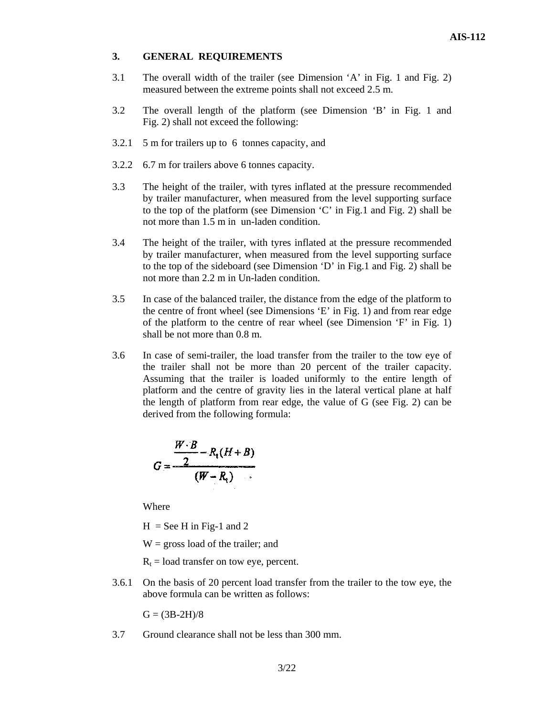#### **3. GENERAL REQUIREMENTS**

- 3.1 The overall width of the trailer (see Dimension 'A' in Fig. 1 and Fig. 2) measured between the extreme points shall not exceed 2.5 m.
- 3.2 The overall length of the platform (see Dimension 'B' in Fig. 1 and Fig. 2) shall not exceed the following:
- 3.2.1 5 m for trailers up to 6 tonnes capacity, and
- 3.2.2 6.7 m for trailers above 6 tonnes capacity.
- 3.3 The height of the trailer, with tyres inflated at the pressure recommended by trailer manufacturer, when measured from the level supporting surface to the top of the platform (see Dimension 'C' in Fig.1 and Fig. 2) shall be not more than 1.5 m in un-laden condition.
- 3.4 The height of the trailer, with tyres inflated at the pressure recommended by trailer manufacturer, when measured from the level supporting surface to the top of the sideboard (see Dimension 'D' in Fig.1 and Fig. 2) shall be not more than 2.2 m in Un-laden condition.
- 3.5 In case of the balanced trailer, the distance from the edge of the platform to the centre of front wheel (see Dimensions 'E' in Fig. 1) and from rear edge of the platform to the centre of rear wheel (see Dimension 'F' in Fig. 1) shall be not more than 0.8 m.
- 3.6 In case of semi-trailer, the load transfer from the trailer to the tow eye of the trailer shall not be more than 20 percent of the trailer capacity. Assuming that the trailer is loaded uniformly to the entire length of platform and the centre of gravity lies in the lateral vertical plane at half the length of platform from rear edge, the value of G (see Fig. 2) can be derived from the following formula:

$$
G=\frac{\frac{W\cdot B}{2}-R_{1}(H+B)}{(W-R_{1})}
$$

Where

 $H =$  See H in Fig-1 and 2

 $W =$  gross load of the trailer; and

- $R_t$  = load transfer on tow eye, percent.
- 3.6.1 On the basis of 20 percent load transfer from the trailer to the tow eye, the above formula can be written as follows:

 $G = (3B-2H)/8$ 

3.7 Ground clearance shall not be less than 300 mm.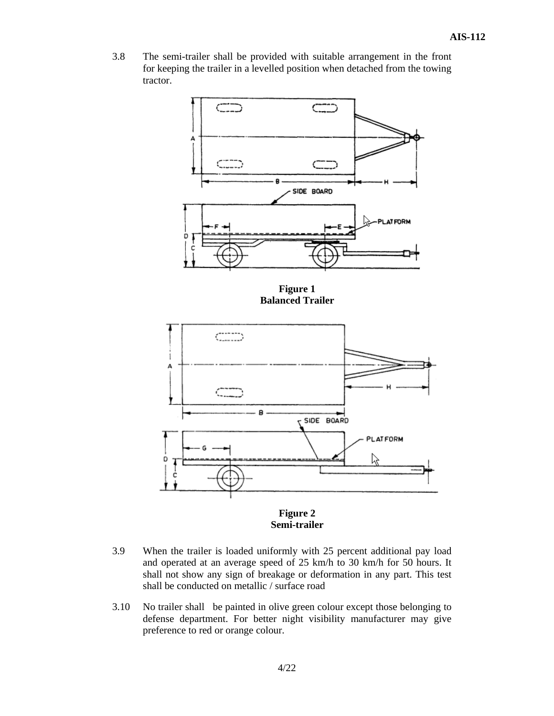3.8 The semi-trailer shall be provided with suitable arrangement in the front for keeping the trailer in a levelled position when detached from the towing tractor.



**Figure 1 Balanced Trailer** 



**Figure 2 Semi-trailer** 

- 3.9 When the trailer is loaded uniformly with 25 percent additional pay load and operated at an average speed of 25 km/h to 30 km/h for 50 hours. It shall not show any sign of breakage or deformation in any part. This test shall be conducted on metallic / surface road
- 3.10 No trailer shall be painted in olive green colour except those belonging to defense department. For better night visibility manufacturer may give preference to red or orange colour.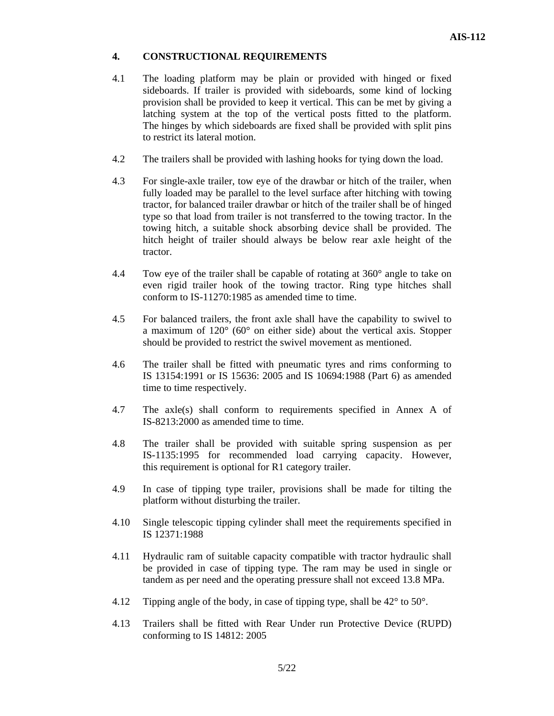#### **4. CONSTRUCTIONAL REQUIREMENTS**

- 4.1 The loading platform may be plain or provided with hinged or fixed sideboards. If trailer is provided with sideboards, some kind of locking provision shall be provided to keep it vertical. This can be met by giving a latching system at the top of the vertical posts fitted to the platform. The hinges by which sideboards are fixed shall be provided with split pins to restrict its lateral motion.
- 4.2 The trailers shall be provided with lashing hooks for tying down the load.
- 4.3 For single-axle trailer, tow eye of the drawbar or hitch of the trailer, when fully loaded may be parallel to the level surface after hitching with towing tractor, for balanced trailer drawbar or hitch of the trailer shall be of hinged type so that load from trailer is not transferred to the towing tractor. In the towing hitch, a suitable shock absorbing device shall be provided. The hitch height of trailer should always be below rear axle height of the tractor.
- 4.4 Tow eye of the trailer shall be capable of rotating at 360° angle to take on even rigid trailer hook of the towing tractor. Ring type hitches shall conform to IS-11270:1985 as amended time to time.
- 4.5 For balanced trailers, the front axle shall have the capability to swivel to a maximum of 120° (60° on either side) about the vertical axis. Stopper should be provided to restrict the swivel movement as mentioned.
- 4.6 The trailer shall be fitted with pneumatic tyres and rims conforming to IS 13154:1991 or IS 15636: 2005 and IS 10694:1988 (Part 6) as amended time to time respectively.
- 4.7 The axle(s) shall conform to requirements specified in Annex A of IS-8213:2000 as amended time to time.
- 4.8 The trailer shall be provided with suitable spring suspension as per IS-1135:1995 for recommended load carrying capacity. However, this requirement is optional for R1 category trailer.
- 4.9 In case of tipping type trailer, provisions shall be made for tilting the platform without disturbing the trailer.
- 4.10 Single telescopic tipping cylinder shall meet the requirements specified in IS 12371:1988
- 4.11 Hydraulic ram of suitable capacity compatible with tractor hydraulic shall be provided in case of tipping type. The ram may be used in single or tandem as per need and the operating pressure shall not exceed 13.8 MPa.
- 4.12 Tipping angle of the body, in case of tipping type, shall be 42° to 50°.
- 4.13 Trailers shall be fitted with Rear Under run Protective Device (RUPD) conforming to IS 14812: 2005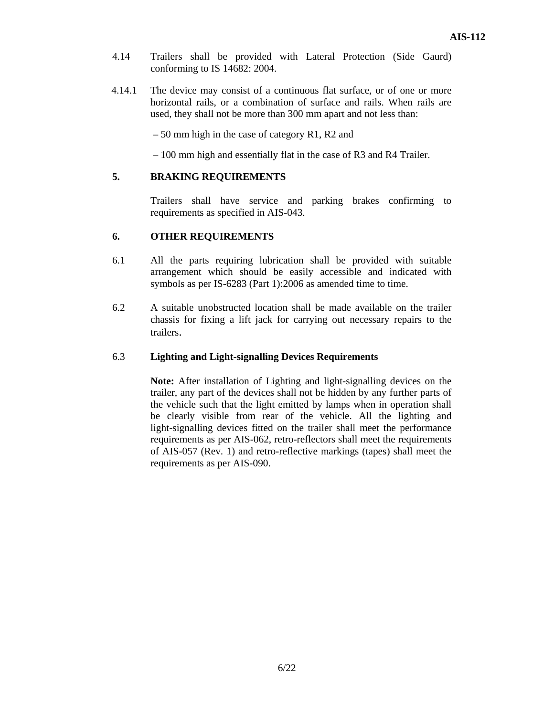- 4.14 Trailers shall be provided with Lateral Protection (Side Gaurd) conforming to IS 14682: 2004.
- 4.14.1 The device may consist of a continuous flat surface, or of one or more horizontal rails, or a combination of surface and rails. When rails are used, they shall not be more than 300 mm apart and not less than:

– 50 mm high in the case of category R1, R2 and

– 100 mm high and essentially flat in the case of R3 and R4 Trailer.

#### **5. BRAKING REQUIREMENTS**

Trailers shall have service and parking brakes confirming to requirements as specified in AIS-043.

#### **6. OTHER REQUIREMENTS**

- 6.1 All the parts requiring lubrication shall be provided with suitable arrangement which should be easily accessible and indicated with symbols as per IS-6283 (Part 1):2006 as amended time to time.
- 6.2 A suitable unobstructed location shall be made available on the trailer chassis for fixing a lift jack for carrying out necessary repairs to the trailers.

#### 6.3 **Lighting and Light-signalling Devices Requirements**

**Note:** After installation of Lighting and light-signalling devices on the trailer, any part of the devices shall not be hidden by any further parts of the vehicle such that the light emitted by lamps when in operation shall be clearly visible from rear of the vehicle. All the lighting and light-signalling devices fitted on the trailer shall meet the performance requirements as per AIS-062, retro-reflectors shall meet the requirements of AIS-057 (Rev. 1) and retro-reflective markings (tapes) shall meet the requirements as per AIS-090.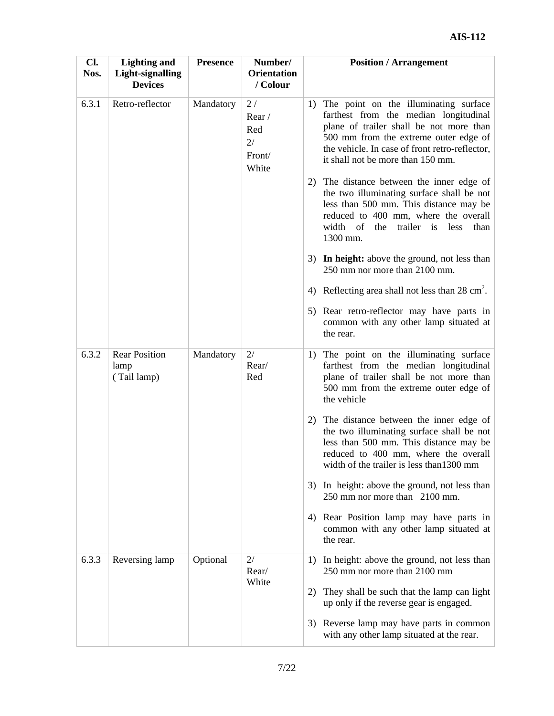| Cl.<br>Nos. | <b>Lighting and</b><br>Light-signalling<br><b>Devices</b> | <b>Presence</b> | Number/<br><b>Orientation</b><br>/ Colour   | <b>Position / Arrangement</b>                                                                                                                                                                                                                                |
|-------------|-----------------------------------------------------------|-----------------|---------------------------------------------|--------------------------------------------------------------------------------------------------------------------------------------------------------------------------------------------------------------------------------------------------------------|
| 6.3.1       | Retro-reflector                                           | Mandatory       | 2/<br>Rear/<br>Red<br>2/<br>Front/<br>White | 1) The point on the illuminating surface<br>farthest from the median longitudinal<br>plane of trailer shall be not more than<br>500 mm from the extreme outer edge of<br>the vehicle. In case of front retro-reflector,<br>it shall not be more than 150 mm. |
|             |                                                           |                 |                                             | The distance between the inner edge of<br>2)<br>the two illuminating surface shall be not<br>less than 500 mm. This distance may be<br>reduced to 400 mm, where the overall<br>width of<br>the trailer is<br>less<br>than<br>1300 mm.                        |
|             |                                                           |                 |                                             | 3) In height: above the ground, not less than<br>250 mm nor more than 2100 mm.                                                                                                                                                                               |
|             |                                                           |                 |                                             | 4) Reflecting area shall not less than 28 cm <sup>2</sup> .                                                                                                                                                                                                  |
|             |                                                           |                 |                                             | 5) Rear retro-reflector may have parts in<br>common with any other lamp situated at<br>the rear.                                                                                                                                                             |
| 6.3.2       | <b>Rear Position</b><br>lamp<br>(Tail lamp)               | Mandatory       | 2/<br>Rear/<br>Red                          | The point on the illuminating surface<br>1)<br>farthest from the median longitudinal<br>plane of trailer shall be not more than<br>500 mm from the extreme outer edge of<br>the vehicle                                                                      |
|             |                                                           |                 |                                             | The distance between the inner edge of<br>2)<br>the two illuminating surface shall be not<br>less than 500 mm. This distance may be<br>reduced to 400 mm, where the overall<br>width of the trailer is less than 1300 mm                                     |
|             |                                                           |                 |                                             | In height: above the ground, not less than<br>3)<br>250 mm nor more than 2100 mm.                                                                                                                                                                            |
|             |                                                           |                 |                                             | Rear Position lamp may have parts in<br>4)<br>common with any other lamp situated at<br>the rear.                                                                                                                                                            |
| 6.3.3       | Reversing lamp                                            | Optional        | 2/<br>Rear/                                 | In height: above the ground, not less than<br>1)<br>250 mm nor more than 2100 mm                                                                                                                                                                             |
|             |                                                           |                 | White                                       | They shall be such that the lamp can light<br>2)<br>up only if the reverse gear is engaged.                                                                                                                                                                  |
|             |                                                           |                 |                                             | 3) Reverse lamp may have parts in common<br>with any other lamp situated at the rear.                                                                                                                                                                        |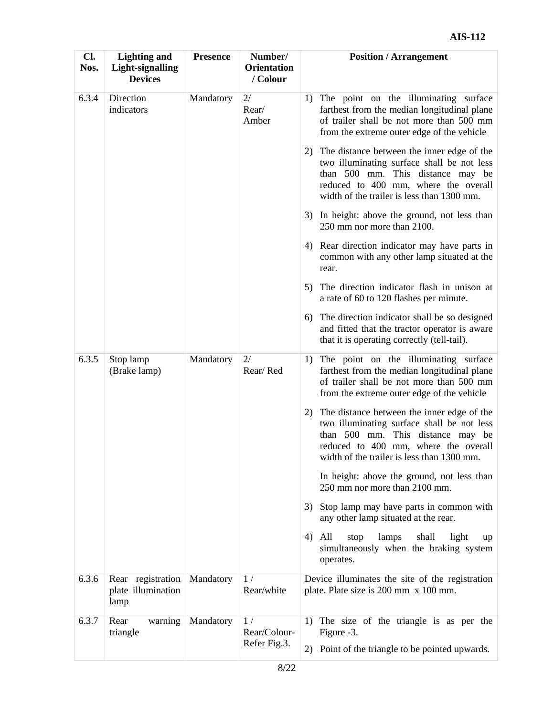| Cl.<br>Nos. | <b>Lighting and</b><br><b>Light-signalling</b><br><b>Devices</b> | <b>Presence</b> | Number/<br><b>Orientation</b><br>/ Colour | <b>Position / Arrangement</b>                                                                                                                                                                                             |
|-------------|------------------------------------------------------------------|-----------------|-------------------------------------------|---------------------------------------------------------------------------------------------------------------------------------------------------------------------------------------------------------------------------|
| 6.3.4       | Direction<br>indicators                                          | Mandatory       | 2/<br>Rear/<br>Amber                      | 1) The point on the illuminating surface<br>farthest from the median longitudinal plane<br>of trailer shall be not more than 500 mm<br>from the extreme outer edge of the vehicle                                         |
|             |                                                                  |                 |                                           | 2) The distance between the inner edge of the<br>two illuminating surface shall be not less<br>than 500 mm. This distance may be<br>reduced to 400 mm, where the overall<br>width of the trailer is less than 1300 mm.    |
|             |                                                                  |                 |                                           | 3) In height: above the ground, not less than<br>250 mm nor more than 2100.                                                                                                                                               |
|             |                                                                  |                 |                                           | 4) Rear direction indicator may have parts in<br>common with any other lamp situated at the<br>rear.                                                                                                                      |
|             |                                                                  |                 |                                           | The direction indicator flash in unison at<br>5)<br>a rate of 60 to 120 flashes per minute.                                                                                                                               |
|             |                                                                  |                 |                                           | The direction indicator shall be so designed<br>6)<br>and fitted that the tractor operator is aware<br>that it is operating correctly (tell-tail).                                                                        |
| 6.3.5       | Stop lamp<br>(Brake lamp)                                        | Mandatory       | 2/<br>Rear/Red                            | The point on the illuminating surface<br>1)<br>farthest from the median longitudinal plane<br>of trailer shall be not more than 500 mm<br>from the extreme outer edge of the vehicle                                      |
|             |                                                                  |                 |                                           | The distance between the inner edge of the<br>2)<br>two illuminating surface shall be not less<br>than 500 mm. This distance may be<br>reduced to 400 mm, where the overall<br>width of the trailer is less than 1300 mm. |
|             |                                                                  |                 |                                           | In height: above the ground, not less than<br>250 mm nor more than 2100 mm.                                                                                                                                               |
|             |                                                                  |                 |                                           | Stop lamp may have parts in common with<br>3)<br>any other lamp situated at the rear.                                                                                                                                     |
|             |                                                                  |                 |                                           | All<br>stop<br>lamps<br>shall<br>light<br>4)<br>up<br>simultaneously when the braking system<br>operates.                                                                                                                 |
| 6.3.6       | Rear registration<br>plate illumination<br>lamp                  | Mandatory       | 1/<br>Rear/white                          | Device illuminates the site of the registration<br>plate. Plate size is 200 mm x 100 mm.                                                                                                                                  |
| 6.3.7       | Rear<br>warning<br>triangle                                      | Mandatory       | 1/<br>Rear/Colour-                        | 1) The size of the triangle is as per the<br>Figure -3.                                                                                                                                                                   |
|             |                                                                  |                 | Refer Fig.3.                              | 2) Point of the triangle to be pointed upwards.                                                                                                                                                                           |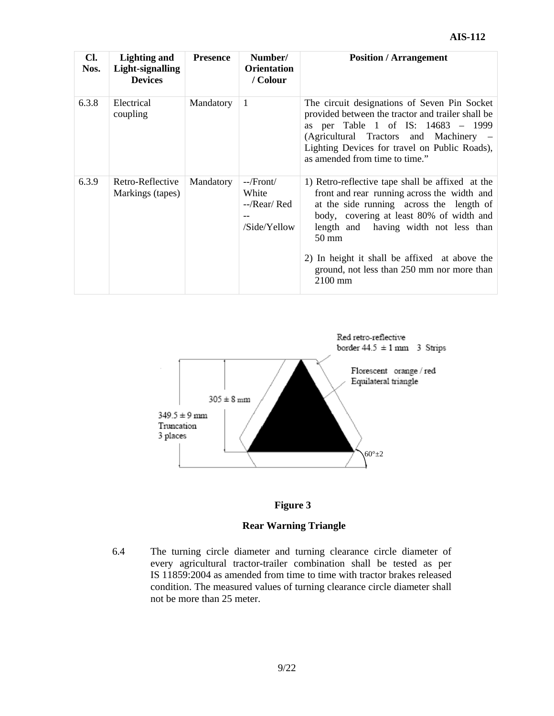| Cl.<br>Nos. | <b>Lighting and</b><br>Light-signalling<br><b>Devices</b> | <b>Presence</b> | Number/<br><b>Orientation</b><br>/ Colour                                                                                                                                                                                                                                                                                                                                                                 | <b>Position / Arrangement</b>                                                                                                                                                                                                                                        |
|-------------|-----------------------------------------------------------|-----------------|-----------------------------------------------------------------------------------------------------------------------------------------------------------------------------------------------------------------------------------------------------------------------------------------------------------------------------------------------------------------------------------------------------------|----------------------------------------------------------------------------------------------------------------------------------------------------------------------------------------------------------------------------------------------------------------------|
| 6.3.8       | Electrical<br>coupling                                    | Mandatory       | 1                                                                                                                                                                                                                                                                                                                                                                                                         | The circuit designations of Seven Pin Socket<br>provided between the tractor and trailer shall be<br>as per Table 1 of IS: 14683 – 1999<br>(Agricultural Tractors and Machinery –<br>Lighting Devices for travel on Public Roads),<br>as amended from time to time." |
| 6.3.9       | Retro-Reflective<br>Markings (tapes)                      | Mandatory       | --/Front/<br>1) Retro-reflective tape shall be affixed at the<br>front and rear running across the width and<br>White<br>at the side running across the length of<br>$-$ /Rear/Red<br>body, covering at least 80% of width and<br>/Side/Yellow<br>length and having width not less than<br>$50 \text{ mm}$<br>2) In height it shall be affixed at above the<br>ground, not less than 250 mm nor more than |                                                                                                                                                                                                                                                                      |





#### **Rear Warning Triangle**

6.4 The turning circle diameter and turning clearance circle diameter of every agricultural tractor-trailer combination shall be tested as per IS 11859:2004 as amended from time to time with tractor brakes released condition. The measured values of turning clearance circle diameter shall not be more than 25 meter.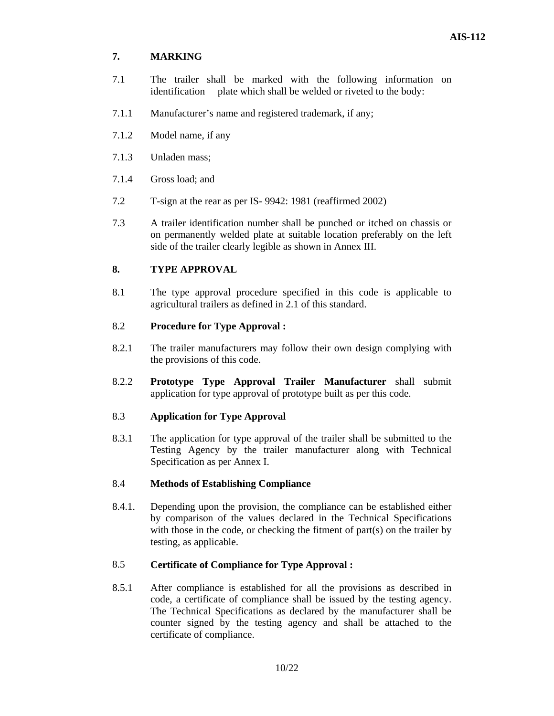#### **7. MARKING**

- 7.1 The trailer shall be marked with the following information on identification plate which shall be welded or riveted to the body:
- 7.1.1 Manufacturer's name and registered trademark, if any;
- 7.1.2 Model name, if any
- 7.1.3 Unladen mass;
- 7.1.4 Gross load; and
- 7.2 T-sign at the rear as per IS- 9942: 1981 (reaffirmed 2002)
- 7.3 A trailer identification number shall be punched or itched on chassis or on permanently welded plate at suitable location preferably on the left side of the trailer clearly legible as shown in Annex III.

#### **8. TYPE APPROVAL**

8.1 The type approval procedure specified in this code is applicable to agricultural trailers as defined in 2.1 of this standard.

#### 8.2 **Procedure for Type Approval :**

- 8.2.1 The trailer manufacturers may follow their own design complying with the provisions of this code.
- 8.2.2 **Prototype Type Approval Trailer Manufacturer** shall submit application for type approval of prototype built as per this code.

#### 8.3 **Application for Type Approval**

8.3.1 The application for type approval of the trailer shall be submitted to the Testing Agency by the trailer manufacturer along with Technical Specification as per Annex I.

#### 8.4 **Methods of Establishing Compliance**

8.4.1. Depending upon the provision, the compliance can be established either by comparison of the values declared in the Technical Specifications with those in the code, or checking the fitment of part(s) on the trailer by testing, as applicable.

#### 8.5 **Certificate of Compliance for Type Approval :**

8.5.1 After compliance is established for all the provisions as described in code, a certificate of compliance shall be issued by the testing agency. The Technical Specifications as declared by the manufacturer shall be counter signed by the testing agency and shall be attached to the certificate of compliance.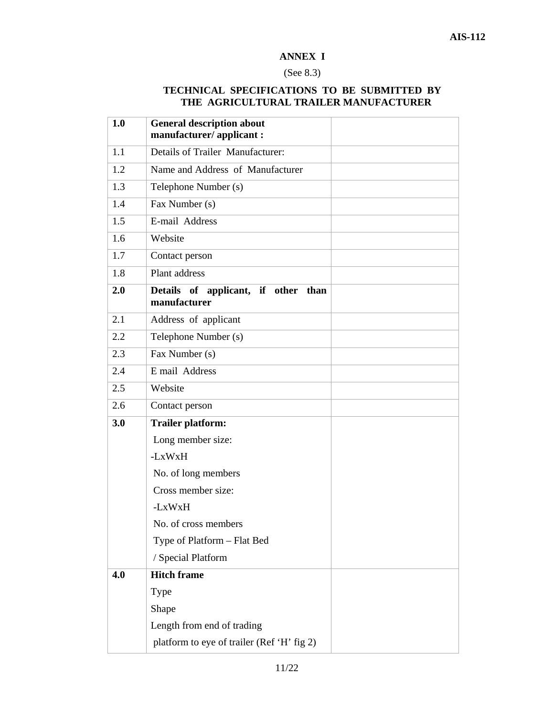#### **ANNEX I**

## (See 8.3)

## **TECHNICAL SPECIFICATIONS TO BE SUBMITTED BY THE AGRICULTURAL TRAILER MANUFACTURER**

| 1.0 | <b>General description about</b><br>manufacturer/applicant: |  |
|-----|-------------------------------------------------------------|--|
| 1.1 | Details of Trailer Manufacturer:                            |  |
| 1.2 | Name and Address of Manufacturer                            |  |
| 1.3 | Telephone Number (s)                                        |  |
| 1.4 | Fax Number (s)                                              |  |
| 1.5 | E-mail Address                                              |  |
| 1.6 | Website                                                     |  |
| 1.7 | Contact person                                              |  |
| 1.8 | Plant address                                               |  |
| 2.0 | Details of applicant, if other than                         |  |
|     | manufacturer                                                |  |
| 2.1 | Address of applicant                                        |  |
| 2.2 | Telephone Number (s)                                        |  |
| 2.3 | Fax Number (s)                                              |  |
| 2.4 | E mail Address                                              |  |
| 2.5 | Website                                                     |  |
| 2.6 | Contact person                                              |  |
| 3.0 | <b>Trailer platform:</b>                                    |  |
|     | Long member size:                                           |  |
|     | -LxWxH                                                      |  |
|     | No. of long members                                         |  |
|     | Cross member size:                                          |  |
|     | -LxWxH                                                      |  |
|     | No. of cross members                                        |  |
|     | Type of Platform - Flat Bed                                 |  |
|     | / Special Platform                                          |  |
| 4.0 | <b>Hitch frame</b>                                          |  |
|     | Type                                                        |  |
|     | Shape                                                       |  |
|     | Length from end of trading                                  |  |
|     | platform to eye of trailer (Ref 'H' fig 2)                  |  |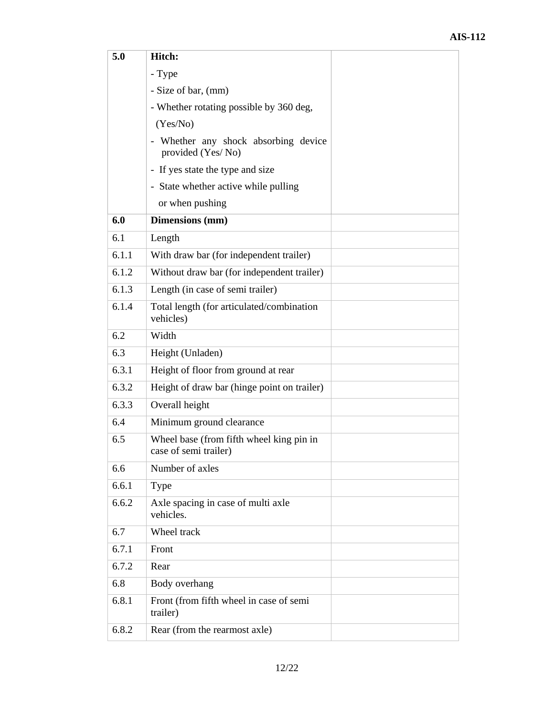| 5.0   | Hitch:                                                            |  |
|-------|-------------------------------------------------------------------|--|
|       | - Type                                                            |  |
|       | - Size of bar, (mm)                                               |  |
|       | - Whether rotating possible by 360 deg,                           |  |
|       | (Yes/No)                                                          |  |
|       | - Whether any shock absorbing device<br>provided (Yes/No)         |  |
|       | - If yes state the type and size                                  |  |
|       | - State whether active while pulling                              |  |
|       | or when pushing                                                   |  |
| 6.0   | Dimensions (mm)                                                   |  |
| 6.1   | Length                                                            |  |
| 6.1.1 | With draw bar (for independent trailer)                           |  |
| 6.1.2 | Without draw bar (for independent trailer)                        |  |
| 6.1.3 | Length (in case of semi trailer)                                  |  |
| 6.1.4 | Total length (for articulated/combination<br>vehicles)            |  |
| 6.2   | Width                                                             |  |
| 6.3   | Height (Unladen)                                                  |  |
| 6.3.1 | Height of floor from ground at rear                               |  |
| 6.3.2 | Height of draw bar (hinge point on trailer)                       |  |
| 6.3.3 | Overall height                                                    |  |
| 6.4   | Minimum ground clearance                                          |  |
| 6.5   | Wheel base (from fifth wheel king pin in<br>case of semi trailer) |  |
| 6.6   | Number of axles                                                   |  |
| 6.6.1 | Type                                                              |  |
| 6.6.2 | Axle spacing in case of multi axle<br>vehicles.                   |  |
| 6.7   | Wheel track                                                       |  |
| 6.7.1 | Front                                                             |  |
| 6.7.2 | Rear                                                              |  |
| 6.8   | Body overhang                                                     |  |
| 6.8.1 | Front (from fifth wheel in case of semi<br>trailer)               |  |
| 6.8.2 | Rear (from the rearmost axle)                                     |  |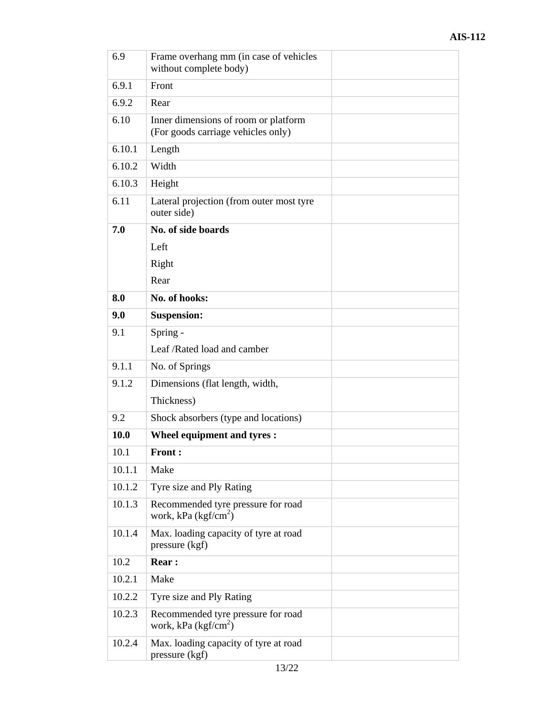| 6.9    | Frame overhang mm (in case of vehicles<br>without complete body)           |
|--------|----------------------------------------------------------------------------|
| 6.9.1  | Front                                                                      |
| 6.9.2  | Rear                                                                       |
| 6.10   | Inner dimensions of room or platform<br>(For goods carriage vehicles only) |
| 6.10.1 | Length                                                                     |
| 6.10.2 | Width                                                                      |
| 6.10.3 | Height                                                                     |
| 6.11   | Lateral projection (from outer most tyre<br>outer side)                    |
| 7.0    | No. of side boards                                                         |
|        | Left                                                                       |
|        | Right                                                                      |
|        | Rear                                                                       |
| 8.0    | No. of hooks:                                                              |
| 9.0    | <b>Suspension:</b>                                                         |
| 9.1    | Spring -                                                                   |
|        | Leaf /Rated load and camber                                                |
| 9.1.1  | No. of Springs                                                             |
| 9.1.2  | Dimensions (flat length, width,                                            |
|        | Thickness)                                                                 |
| 9.2    | Shock absorbers (type and locations)                                       |
| 10.0   | Wheel equipment and tyres :                                                |
| 10.1   | <b>Front:</b>                                                              |
| 10.1.1 | Make                                                                       |
| 10.1.2 | Tyre size and Ply Rating                                                   |
| 10.1.3 | Recommended tyre pressure for road<br>work, kPa $(kgf/cm2)$                |
| 10.1.4 | Max. loading capacity of tyre at road<br>pressure (kgf)                    |
| 10.2   | <b>Rear:</b>                                                               |
| 10.2.1 | Make                                                                       |
| 10.2.2 | Tyre size and Ply Rating                                                   |
| 10.2.3 | Recommended tyre pressure for road<br>work, kPa $(kgf/cm2)$                |
| 10.2.4 | Max. loading capacity of tyre at road<br>pressure (kgf)                    |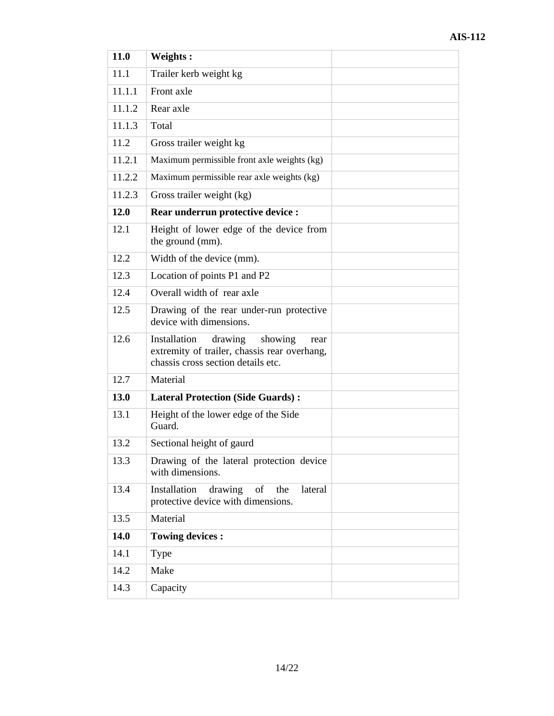| 11.0   | Weights:                                                                                                                         |  |
|--------|----------------------------------------------------------------------------------------------------------------------------------|--|
| 11.1   | Trailer kerb weight kg                                                                                                           |  |
| 11.1.1 | Front axle                                                                                                                       |  |
| 11.1.2 | Rear axle                                                                                                                        |  |
| 11.1.3 | Total                                                                                                                            |  |
| 11.2   | Gross trailer weight kg                                                                                                          |  |
| 11.2.1 | Maximum permissible front axle weights (kg)                                                                                      |  |
| 11.2.2 | Maximum permissible rear axle weights (kg)                                                                                       |  |
| 11.2.3 | Gross trailer weight (kg)                                                                                                        |  |
| 12.0   | Rear underrun protective device :                                                                                                |  |
| 12.1   | Height of lower edge of the device from<br>the ground (mm).                                                                      |  |
| 12.2   | Width of the device (mm).                                                                                                        |  |
| 12.3   | Location of points P1 and P2                                                                                                     |  |
| 12.4   | Overall width of rear axle                                                                                                       |  |
| 12.5   | Drawing of the rear under-run protective<br>device with dimensions.                                                              |  |
| 12.6   | drawing<br>Installation<br>showing<br>rear<br>extremity of trailer, chassis rear overhang,<br>chassis cross section details etc. |  |
| 12.7   | Material                                                                                                                         |  |
| 13.0   | <b>Lateral Protection (Side Guards):</b>                                                                                         |  |
| 13.1   | Height of the lower edge of the Side<br>Guard.                                                                                   |  |
| 13.2   | Sectional height of gaurd                                                                                                        |  |
| 13.3   | Drawing of the lateral protection device<br>with dimensions.                                                                     |  |
| 13.4   | Installation<br>drawing<br>lateral<br>of<br>the<br>protective device with dimensions.                                            |  |
| 13.5   | Material                                                                                                                         |  |
| 14.0   | <b>Towing devices:</b>                                                                                                           |  |
| 14.1   | Type                                                                                                                             |  |
| 14.2   | Make                                                                                                                             |  |
| 14.3   | Capacity                                                                                                                         |  |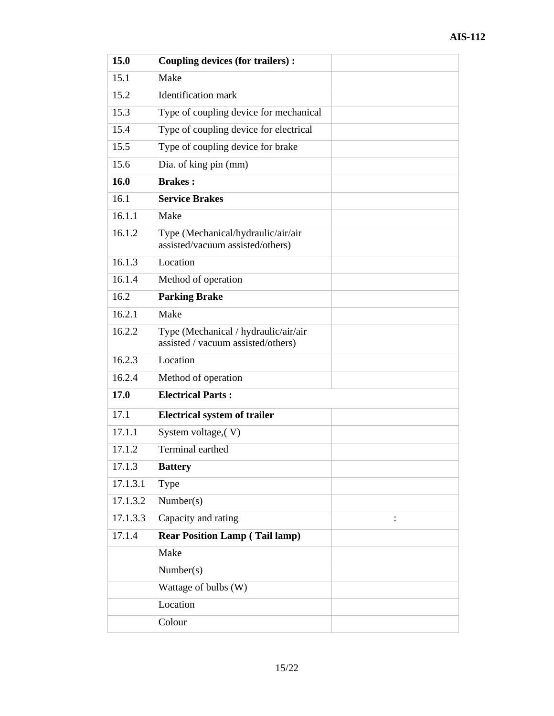| 15.0     | Coupling devices (for trailers):                                           |  |
|----------|----------------------------------------------------------------------------|--|
| 15.1     | Make                                                                       |  |
| 15.2     | <b>Identification</b> mark                                                 |  |
| 15.3     | Type of coupling device for mechanical                                     |  |
| 15.4     | Type of coupling device for electrical                                     |  |
| 15.5     | Type of coupling device for brake                                          |  |
| 15.6     | Dia. of king pin (mm)                                                      |  |
| 16.0     | <b>Brakes:</b>                                                             |  |
| 16.1     | <b>Service Brakes</b>                                                      |  |
| 16.1.1   | Make                                                                       |  |
| 16.1.2   | Type (Mechanical/hydraulic/air/air<br>assisted/vacuum assisted/others)     |  |
| 16.1.3   | Location                                                                   |  |
| 16.1.4   | Method of operation                                                        |  |
| 16.2     | <b>Parking Brake</b>                                                       |  |
| 16.2.1   | Make                                                                       |  |
| 16.2.2   | Type (Mechanical / hydraulic/air/air<br>assisted / vacuum assisted/others) |  |
| 16.2.3   | Location                                                                   |  |
| 16.2.4   | Method of operation                                                        |  |
| 17.0     | <b>Electrical Parts:</b>                                                   |  |
| 17.1     | <b>Electrical system of trailer</b>                                        |  |
| 17.1.1   | System voltage, (V)                                                        |  |
| 17.1.2   | Terminal earthed                                                           |  |
| 17.1.3   | <b>Battery</b>                                                             |  |
| 17.1.3.1 | Type                                                                       |  |
| 17.1.3.2 | Number(s)                                                                  |  |
| 17.1.3.3 | Capacity and rating                                                        |  |
| 17.1.4   | <b>Rear Position Lamp (Tail lamp)</b>                                      |  |
|          | Make                                                                       |  |
|          | Number(s)                                                                  |  |
|          | Wattage of bulbs (W)                                                       |  |
|          | Location                                                                   |  |
|          | Colour                                                                     |  |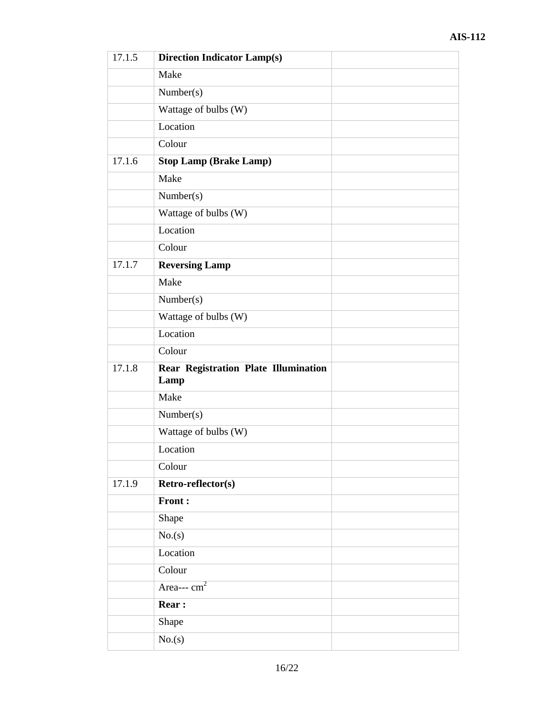| 17.1.5 | <b>Direction Indicator Lamp(s)</b>           |  |
|--------|----------------------------------------------|--|
|        | Make                                         |  |
|        | Number(s)                                    |  |
|        | Wattage of bulbs (W)                         |  |
|        | Location                                     |  |
|        | Colour                                       |  |
| 17.1.6 | <b>Stop Lamp (Brake Lamp)</b>                |  |
|        | Make                                         |  |
|        | Number(s)                                    |  |
|        | Wattage of bulbs (W)                         |  |
|        | Location                                     |  |
|        | Colour                                       |  |
| 17.1.7 | <b>Reversing Lamp</b>                        |  |
|        | Make                                         |  |
|        | Number(s)                                    |  |
|        | Wattage of bulbs (W)                         |  |
|        | Location                                     |  |
|        | Colour                                       |  |
| 17.1.8 | Rear Registration Plate Illumination<br>Lamp |  |
|        | Make                                         |  |
|        | Number(s)                                    |  |
|        | Wattage of bulbs (W)                         |  |
|        | Location                                     |  |
|        | Colour                                       |  |
| 17.1.9 | Retro-reflector(s)                           |  |
|        | Front:                                       |  |
|        | Shape                                        |  |
|        | No(s)                                        |  |
|        | Location                                     |  |
|        | Colour                                       |  |
|        | Area--- $cm2$                                |  |
|        | <b>Rear:</b>                                 |  |
|        | Shape                                        |  |
|        | No(s)                                        |  |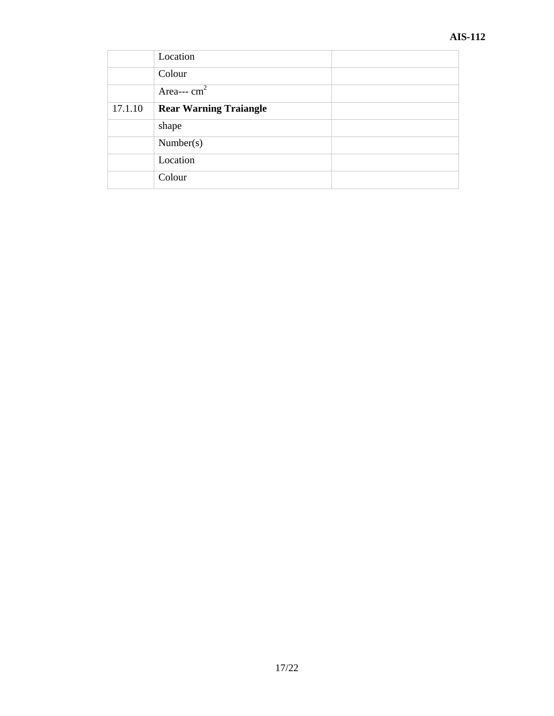|         | Location                      |  |
|---------|-------------------------------|--|
|         | Colour                        |  |
|         | Area--- $cm2$                 |  |
| 17.1.10 | <b>Rear Warning Traiangle</b> |  |
|         | shape                         |  |
|         | Number(s)                     |  |
|         | Location                      |  |
|         | Colour                        |  |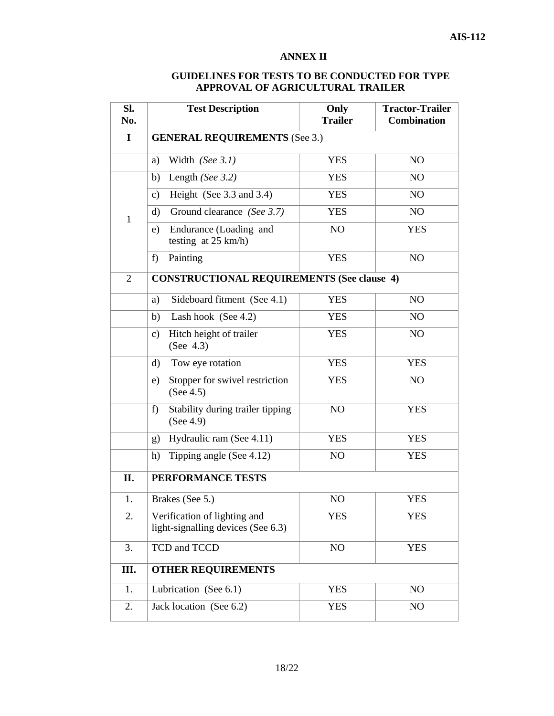#### **ANNEX II**

#### **GUIDELINES FOR TESTS TO BE CONDUCTED FOR TYPE APPROVAL OF AGRICULTURAL TRAILER**

| SI.<br>No.     | <b>Test Description</b>                                            | Only<br><b>Trailer</b> | <b>Tractor-Trailer</b><br><b>Combination</b> |
|----------------|--------------------------------------------------------------------|------------------------|----------------------------------------------|
| $\mathbf I$    | <b>GENERAL REQUIREMENTS (See 3.)</b>                               |                        |                                              |
|                | Width (See 3.1)<br>a)                                              | <b>YES</b>             | N <sub>O</sub>                               |
|                | Length (See 3.2)<br>b)                                             | <b>YES</b>             | N <sub>O</sub>                               |
|                | Height (See 3.3 and 3.4)<br>$\mathbf{c})$                          | <b>YES</b>             | N <sub>O</sub>                               |
| $\mathbf{1}$   | $\mathbf{d}$<br>Ground clearance (See 3.7)                         | <b>YES</b>             | N <sub>O</sub>                               |
|                | Endurance (Loading and<br>e)<br>testing at $25 \text{ km/h}$ )     | NO                     | <b>YES</b>                                   |
|                | Painting<br>f)                                                     | <b>YES</b>             | N <sub>O</sub>                               |
| $\overline{2}$ | <b>CONSTRUCTIONAL REQUIREMENTS (See clause 4)</b>                  |                        |                                              |
|                | Sideboard fitment (See 4.1)<br>a)                                  | <b>YES</b>             | N <sub>O</sub>                               |
|                | Lash hook (See 4.2)<br>b)                                          | <b>YES</b>             | N <sub>O</sub>                               |
|                | Hitch height of trailer<br>c)<br>(See 4.3)                         | <b>YES</b>             | N <sub>O</sub>                               |
|                | Tow eye rotation<br>d)                                             | <b>YES</b>             | <b>YES</b>                                   |
|                | Stopper for swivel restriction<br>e)<br>(See $4.5$ )               | <b>YES</b>             | N <sub>O</sub>                               |
|                | Stability during trailer tipping<br>f)<br>(See 4.9)                | NO                     | <b>YES</b>                                   |
|                | Hydraulic ram (See 4.11)<br>g)                                     | <b>YES</b>             | <b>YES</b>                                   |
|                | Tipping angle (See 4.12)<br>h)                                     | N <sub>O</sub>         | <b>YES</b>                                   |
| Π.             | PERFORMANCE TESTS                                                  |                        |                                              |
| 1.             | Brakes (See 5.)                                                    | NO                     | <b>YES</b>                                   |
| 2.             | Verification of lighting and<br>light-signalling devices (See 6.3) | <b>YES</b>             | <b>YES</b>                                   |
| 3.             | TCD and TCCD                                                       | NO                     | <b>YES</b>                                   |
| Ш.             | <b>OTHER REQUIREMENTS</b>                                          |                        |                                              |
| 1.             | Lubrication (See 6.1)                                              | <b>YES</b>             | N <sub>O</sub>                               |
| 2.             | Jack location (See 6.2)                                            | <b>YES</b>             | N <sub>O</sub>                               |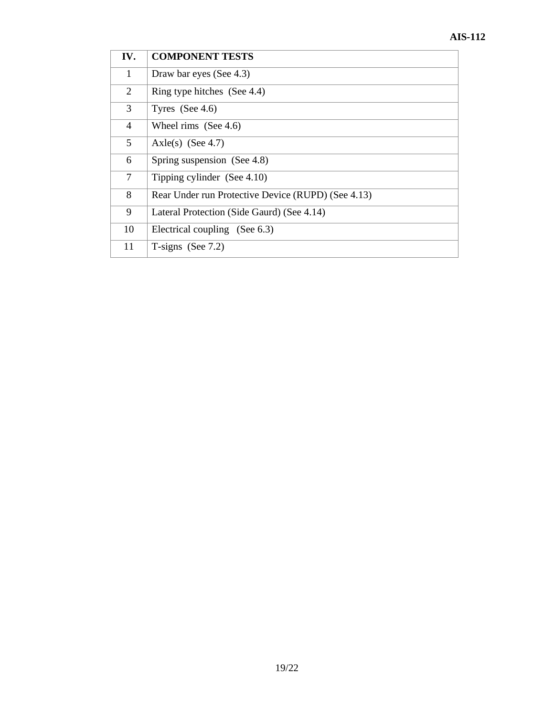| IV.            | <b>COMPONENT TESTS</b>                             |
|----------------|----------------------------------------------------|
| 1              | Draw bar eyes (See 4.3)                            |
| 2              | Ring type hitches (See 4.4)                        |
| 3              | Tyres $(See 4.6)$                                  |
| $\overline{4}$ | Wheel rims (See 4.6)                               |
| 5              | Axle(s) (See 4.7)                                  |
| 6              | Spring suspension (See 4.8)                        |
| 7              | Tipping cylinder (See 4.10)                        |
| 8              | Rear Under run Protective Device (RUPD) (See 4.13) |
| 9              | Lateral Protection (Side Gaurd) (See 4.14)         |
| 10             | Electrical coupling (See 6.3)                      |
| 11             | T-signs (See $7.2$ )                               |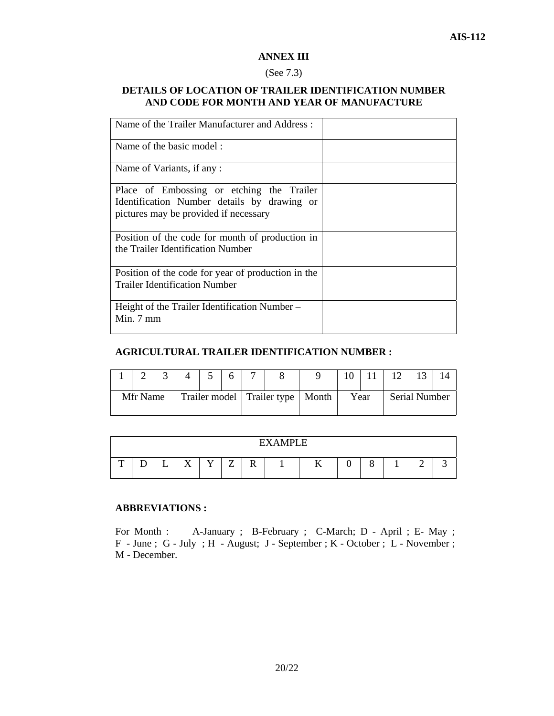#### **ANNEX III**

#### (See 7.3)

#### **DETAILS OF LOCATION OF TRAILER IDENTIFICATION NUMBER AND CODE FOR MONTH AND YEAR OF MANUFACTURE**

| Name of the Trailer Manufacturer and Address:      |  |
|----------------------------------------------------|--|
| Name of the basic model:                           |  |
| Name of Variants, if any:                          |  |
| Place of Embossing or etching the Trailer          |  |
| Identification Number details by drawing or        |  |
| pictures may be provided if necessary              |  |
| Position of the code for month of production in    |  |
| the Trailer Identification Number                  |  |
| Position of the code for year of production in the |  |
| <b>Trailer Identification Number</b>               |  |
| Height of the Trailer Identification Number –      |  |
| Min. $7 \text{ mm}$                                |  |
|                                                    |  |

#### **AGRICULTURAL TRAILER IDENTIFICATION NUMBER :**

|          |                                    |  |  | 6 | $\overline{ }$ |      |               |  |  |  |
|----------|------------------------------------|--|--|---|----------------|------|---------------|--|--|--|
| Mfr Name | Trailer model Trailer type   Month |  |  |   |                | Year | Serial Number |  |  |  |

|   |     |   |                                      |                    |                     |                    | <b>FYAMPI E</b> |              |   |   |        |  |
|---|-----|---|--------------------------------------|--------------------|---------------------|--------------------|-----------------|--------------|---|---|--------|--|
| m | - 4 | ∸ | $\overline{\mathbf{r}}$<br>$\lambda$ | $\mathbf{v}$<br>л. | $\overline{ }$<br>_ | $\mathbf{r}$<br>17 |                 | $\mathbf{r}$ | ື | Ο | ◠<br>- |  |

#### **ABBREVIATIONS :**

For Month : A-January ; B-February ; C-March; D - April ; E- May ; F - June ; G - July ; H - August; J - September ; K - October ; L - November ; M - December.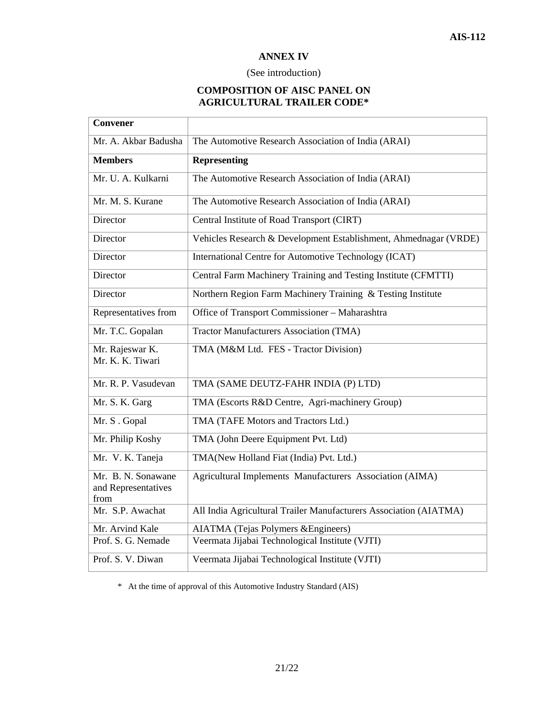#### **ANNEX IV**

#### (See introduction)

#### **COMPOSITION OF AISC PANEL ON AGRICULTURAL TRAILER CODE\***

| <b>Convener</b>                                   |                                                                   |
|---------------------------------------------------|-------------------------------------------------------------------|
| Mr. A. Akbar Badusha                              | The Automotive Research Association of India (ARAI)               |
| <b>Members</b>                                    | <b>Representing</b>                                               |
| Mr. U. A. Kulkarni                                | The Automotive Research Association of India (ARAI)               |
| Mr. M. S. Kurane                                  | The Automotive Research Association of India (ARAI)               |
| Director                                          | Central Institute of Road Transport (CIRT)                        |
| Director                                          | Vehicles Research & Development Establishment, Ahmednagar (VRDE)  |
| Director                                          | International Centre for Automotive Technology (ICAT)             |
| Director                                          | Central Farm Machinery Training and Testing Institute (CFMTTI)    |
| Director                                          | Northern Region Farm Machinery Training & Testing Institute       |
| Representatives from                              | Office of Transport Commissioner - Maharashtra                    |
| Mr. T.C. Gopalan                                  | <b>Tractor Manufacturers Association (TMA)</b>                    |
| Mr. Rajeswar K.<br>Mr. K. K. Tiwari               | TMA (M&M Ltd. FES - Tractor Division)                             |
| Mr. R. P. Vasudevan                               | TMA (SAME DEUTZ-FAHR INDIA (P) LTD)                               |
| Mr. S. K. Garg                                    | TMA (Escorts R&D Centre, Agri-machinery Group)                    |
| Mr. S. Gopal                                      | TMA (TAFE Motors and Tractors Ltd.)                               |
| Mr. Philip Koshy                                  | TMA (John Deere Equipment Pvt. Ltd)                               |
| Mr. V. K. Taneja                                  | TMA(New Holland Fiat (India) Pvt. Ltd.)                           |
| Mr. B. N. Sonawane<br>and Representatives<br>from | Agricultural Implements Manufacturers Association (AIMA)          |
| Mr. S.P. Awachat                                  | All India Agricultural Trailer Manufacturers Association (AIATMA) |
| Mr. Arvind Kale                                   | <b>AIATMA</b> (Tejas Polymers & Engineers)                        |
| Prof. S. G. Nemade                                | Veermata Jijabai Technological Institute (VJTI)                   |
| Prof. S. V. Diwan                                 | Veermata Jijabai Technological Institute (VJTI)                   |

\* At the time of approval of this Automotive Industry Standard (AIS)